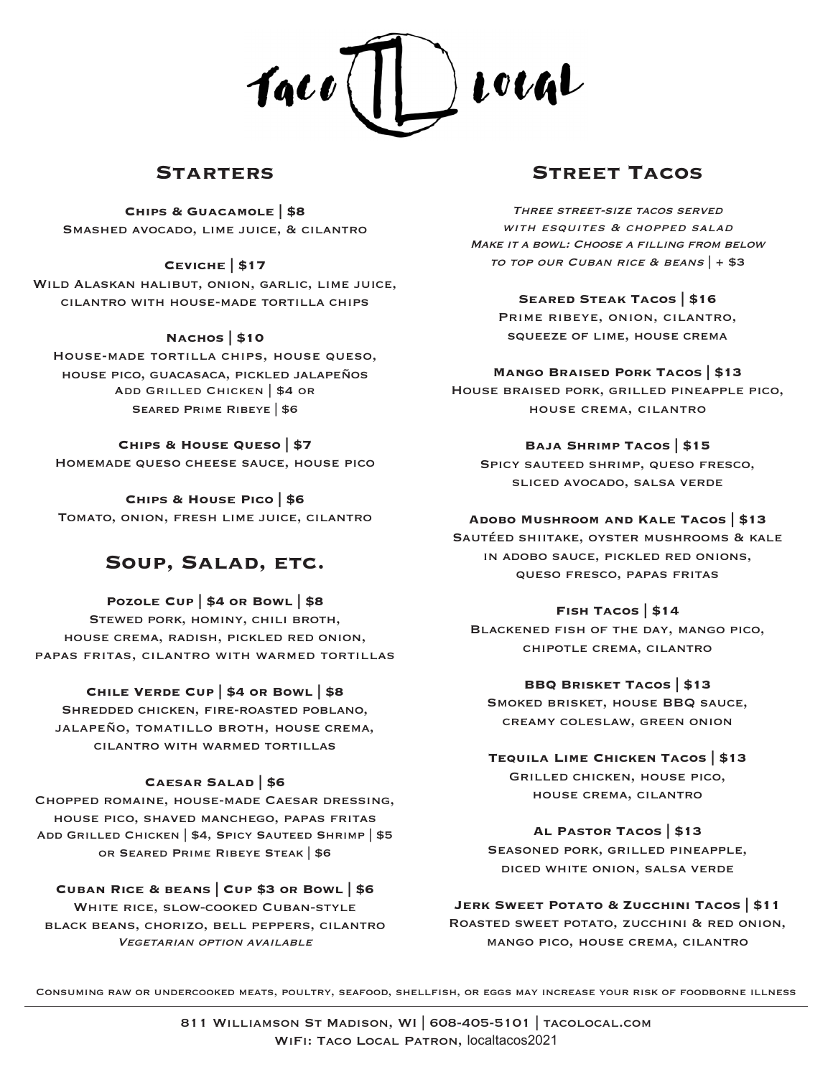

### **Starters**

**Chips & Guacamole | \$8** Smashed avocado, lime juice, & cilantro

**Ceviche | \$17**

Wild Alaskan halibut, onion, garlic, lime juice, cilantro with house-made tortilla chips

#### **Nachos | \$10**

House-made tortilla chips, house queso, house pico, guacasaca, pickled jalapeños Add Grilled Chicken | \$4 or Seared Prime Ribeye | \$6

#### **Chips & House Queso | \$7**

Homemade queso cheese sauce, house pico

**Chips & House Pico | \$6** Tomato, onion, fresh lime juice, cilantro

# **Soup, Salad, etc.**

**Pozole Cup | \$4 or Bowl | \$8**

Stewed pork, hominy, chili broth, house crema, radish, pickled red onion, papas fritas, cilantro with warmed tortillas

#### **Chile Verde Cup | \$4 or Bowl | \$8**

Shredded chicken, fire-roasted poblano, jalapeño, tomatillo broth, house crema, cilantro with warmed tortillas

#### **Caesar Salad | \$6**

Chopped romaine, house-made Caesar dressing, house pico, shaved manchego, papas fritas Add Grilled Chicken | \$4, Spicy Sauteed Shrimp | \$5 or Seared Prime Ribeye Steak | \$6

**Cuban Rice & beans | Cup \$3 or Bowl | \$6** WHITE RICE, SLOW-COOKED CUBAN-STYLE black beans, chorizo, bell peppers, cilantro Vegetarian option available

# **Street Tacos**

Three street-size tacos served WITH ESQUITES & CHOPPED SALAD MAKE IT A BOWL: CHOOSE A FILLING FROM BELOW TO TOP OUR CUBAN RICE & BEANS  $|+ $3$ 

#### **Seared Steak Tacos | \$16**

Prime ribeye, onion, cilantro, squeeze of lime, house crema

#### **Mango Braised Pork Tacos | \$13**

House braised pork, grilled pineapple pico, house crema, cilantro

#### **Baja Shrimp Tacos | \$15**

Spicy sauteed shrimp, queso fresco, sliced avocado, salsa verde

#### **Adobo Mushroom and Kale Tacos | \$13**

Sautéed shiitake, oyster mushrooms & kale in adobo sauce, pickled red onions, queso fresco, papas fritas

#### **Fish Tacos | \$14**

Blackened fish of the day, mango pico, chipotle crema, cilantro

#### **BBQ Brisket Tacos | \$13**

Smoked brisket, house BBQ sauce, creamy coleslaw, green onion

### **Tequila Lime Chicken Tacos | \$13** Grilled chicken, house pico, house crema, cilantro

**Al Pastor Tacos | \$13**

Seasoned pork, grilled pineapple, diced white onion, salsa verde

#### **Jerk Sweet Potato & Zucchini Tacos | \$11**

Roasted sweet potato, zucchini & red onion, mango pico, house crema, cilantro

Consuming raw or undercooked meats, poultry, seafood, shellfish, or eggs may increase your risk of foodborne illness